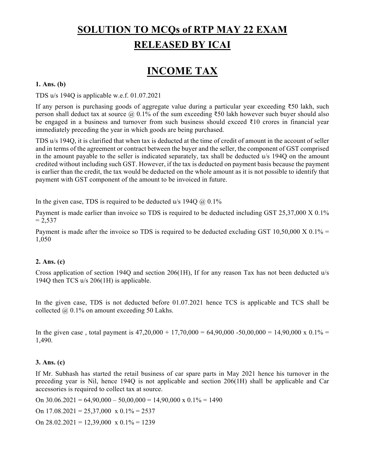# **SOLUTION TO MCQs of RTP MAY 22 EXAM RELEASED BY ICAI**

# **INCOME TAX**

#### **1. Ans. (b)**

TDS u/s 194Q is applicable w.e.f. 01.07.2021

If any person is purchasing goods of aggregate value during a particular year exceeding ₹50 lakh, such person shall deduct tax at source  $@$  0.1% of the sum exceeding ₹50 lakh however such buyer should also be engaged in a business and turnover from such business should exceed ₹10 crores in financial year immediately preceding the year in which goods are being purchased.

TDS u/s 194Q, it is clarified that when tax is deducted at the time of credit of amount in the account of seller and in terms of the agreement or contract between the buyer and the seller, the component of GST comprised in the amount payable to the seller is indicated separately, tax shall be deducted u/s 194Q on the amount credited without including such GST. However, if the tax is deducted on payment basis because the payment is earlier than the credit, the tax would be deducted on the whole amount as it is not possible to identify that payment with GST component of the amount to be invoiced in future.

In the given case, TDS is required to be deducted  $u/s$  1940  $\omega$  0.1%

Payment is made earlier than invoice so TDS is required to be deducted including GST 25,37,000 X 0.1%  $= 2.537$ 

Payment is made after the invoice so TDS is required to be deducted excluding GST 10,50,000 X 0.1% = 1,050

## **2. Ans. (c)**

Cross application of section 194Q and section 206(1H), If for any reason Tax has not been deducted u/s 194Q then TCS u/s 206(1H) is applicable.

In the given case, TDS is not deducted before 01.07.2021 hence TCS is applicable and TCS shall be collected  $\omega$  0.1% on amount exceeding 50 Lakhs.

In the given case, total payment is  $47,20,000 + 17,70,000 = 64,90,000 - 50,00,000 = 14,90,000 \times 0.1\% =$ 1,490.

#### **3. Ans. (c)**

If Mr. Subhash has started the retail business of car spare parts in May 2021 hence his turnover in the preceding year is Nil, hence 194Q is not applicable and section 206(1H) shall be applicable and Car accessories is required to collect tax at source.

On  $30.06.2021 = 64,90,000 - 50,00,000 = 14,90,000 \times 0.1\% = 1490$ 

On  $17.08.2021 = 25,37,000 \text{ x } 0.1\% = 2537$ 

On  $28.02.2021 = 12,39,000 \text{ x } 0.1\% = 1239$